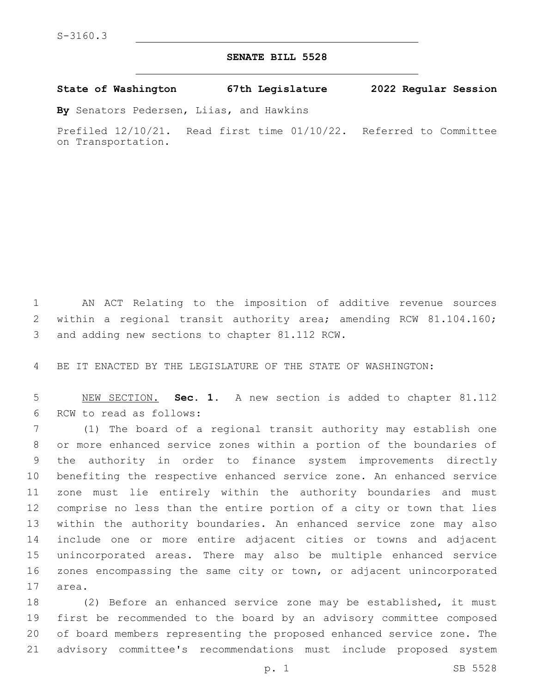## **SENATE BILL 5528**

**State of Washington 67th Legislature 2022 Regular Session**

**By** Senators Pedersen, Liias, and Hawkins

Prefiled 12/10/21. Read first time 01/10/22. Referred to Committee on Transportation.

 AN ACT Relating to the imposition of additive revenue sources within a regional transit authority area; amending RCW 81.104.160; 3 and adding new sections to chapter 81.112 RCW.

BE IT ENACTED BY THE LEGISLATURE OF THE STATE OF WASHINGTON:

 NEW SECTION. **Sec. 1.** A new section is added to chapter 81.112 6 RCW to read as follows:

 (1) The board of a regional transit authority may establish one or more enhanced service zones within a portion of the boundaries of the authority in order to finance system improvements directly benefiting the respective enhanced service zone. An enhanced service zone must lie entirely within the authority boundaries and must comprise no less than the entire portion of a city or town that lies within the authority boundaries. An enhanced service zone may also include one or more entire adjacent cities or towns and adjacent unincorporated areas. There may also be multiple enhanced service zones encompassing the same city or town, or adjacent unincorporated 17 area.

 (2) Before an enhanced service zone may be established, it must first be recommended to the board by an advisory committee composed of board members representing the proposed enhanced service zone. The advisory committee's recommendations must include proposed system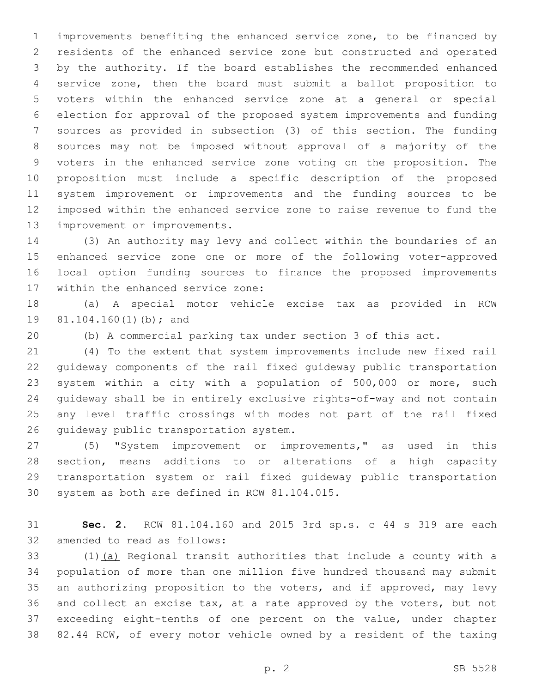improvements benefiting the enhanced service zone, to be financed by residents of the enhanced service zone but constructed and operated by the authority. If the board establishes the recommended enhanced service zone, then the board must submit a ballot proposition to voters within the enhanced service zone at a general or special election for approval of the proposed system improvements and funding sources as provided in subsection (3) of this section. The funding sources may not be imposed without approval of a majority of the voters in the enhanced service zone voting on the proposition. The proposition must include a specific description of the proposed system improvement or improvements and the funding sources to be imposed within the enhanced service zone to raise revenue to fund the 13 improvement or improvements.

 (3) An authority may levy and collect within the boundaries of an enhanced service zone one or more of the following voter-approved local option funding sources to finance the proposed improvements 17 within the enhanced service zone:

 (a) A special motor vehicle excise tax as provided in RCW 19 81.104.160(1)(b); and

(b) A commercial parking tax under section 3 of this act.

 (4) To the extent that system improvements include new fixed rail guideway components of the rail fixed guideway public transportation system within a city with a population of 500,000 or more, such guideway shall be in entirely exclusive rights-of-way and not contain any level traffic crossings with modes not part of the rail fixed 26 quideway public transportation system.

 (5) "System improvement or improvements," as used in this section, means additions to or alterations of a high capacity transportation system or rail fixed guideway public transportation 30 system as both are defined in RCW 81.104.015.

 **Sec. 2.** RCW 81.104.160 and 2015 3rd sp.s. c 44 s 319 are each 32 amended to read as follows:

 (1)(a) Regional transit authorities that include a county with a population of more than one million five hundred thousand may submit an authorizing proposition to the voters, and if approved, may levy and collect an excise tax, at a rate approved by the voters, but not exceeding eight-tenths of one percent on the value, under chapter 82.44 RCW, of every motor vehicle owned by a resident of the taxing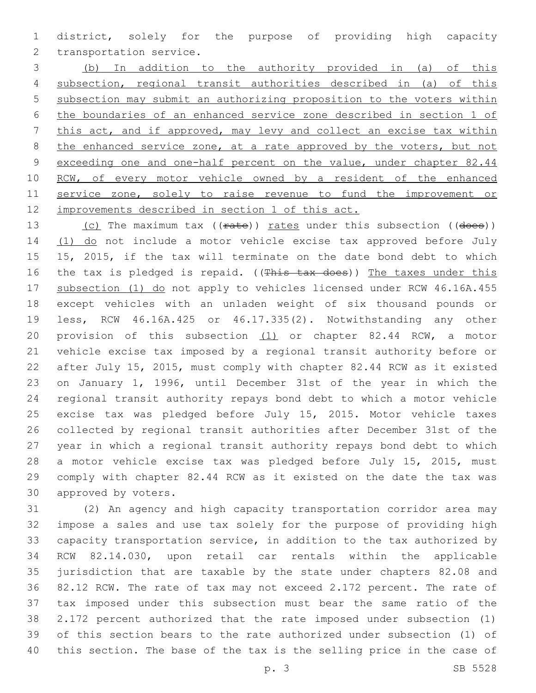district, solely for the purpose of providing high capacity 2 transportation service.

 (b) In addition to the authority provided in (a) of this subsection, regional transit authorities described in (a) of this subsection may submit an authorizing proposition to the voters within the boundaries of an enhanced service zone described in section 1 of this act, and if approved, may levy and collect an excise tax within 8 the enhanced service zone, at a rate approved by the voters, but not 9 exceeding one and one-half percent on the value, under chapter 82.44 RCW, of every motor vehicle owned by a resident of the enhanced 11 service zone, solely to raise revenue to fund the improvement or improvements described in section 1 of this act.

13 (c) The maximum tax ((rate)) rates under this subsection ((does)) 14 (1) do not include a motor vehicle excise tax approved before July 15, 2015, if the tax will terminate on the date bond debt to which 16 the tax is pledged is repaid. ((This tax does)) The taxes under this 17 subsection (1) do not apply to vehicles licensed under RCW 46.16A.455 except vehicles with an unladen weight of six thousand pounds or less, RCW 46.16A.425 or 46.17.335(2). Notwithstanding any other provision of this subsection (1) or chapter 82.44 RCW, a motor vehicle excise tax imposed by a regional transit authority before or after July 15, 2015, must comply with chapter 82.44 RCW as it existed on January 1, 1996, until December 31st of the year in which the regional transit authority repays bond debt to which a motor vehicle excise tax was pledged before July 15, 2015. Motor vehicle taxes collected by regional transit authorities after December 31st of the year in which a regional transit authority repays bond debt to which a motor vehicle excise tax was pledged before July 15, 2015, must comply with chapter 82.44 RCW as it existed on the date the tax was 30 approved by voters.

 (2) An agency and high capacity transportation corridor area may impose a sales and use tax solely for the purpose of providing high capacity transportation service, in addition to the tax authorized by RCW 82.14.030, upon retail car rentals within the applicable jurisdiction that are taxable by the state under chapters 82.08 and 82.12 RCW. The rate of tax may not exceed 2.172 percent. The rate of tax imposed under this subsection must bear the same ratio of the 2.172 percent authorized that the rate imposed under subsection (1) of this section bears to the rate authorized under subsection (1) of this section. The base of the tax is the selling price in the case of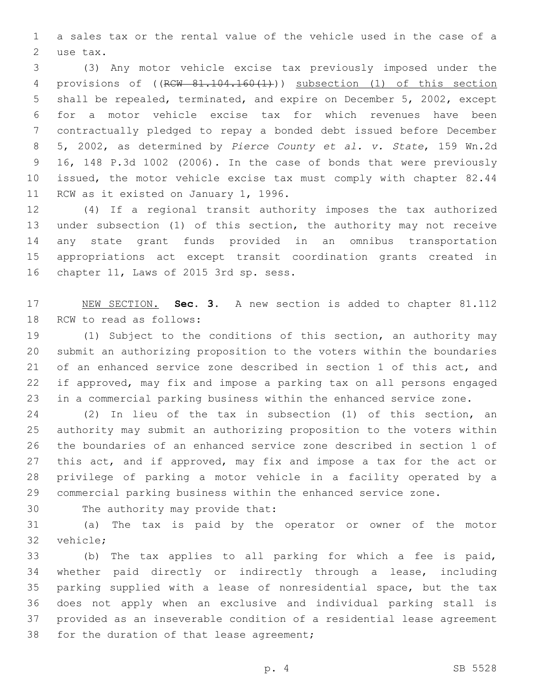a sales tax or the rental value of the vehicle used in the case of a 2 use tax.

 (3) Any motor vehicle excise tax previously imposed under the 4 provisions of ((RCW 81.104.160(1))) subsection (1) of this section shall be repealed, terminated, and expire on December 5, 2002, except for a motor vehicle excise tax for which revenues have been contractually pledged to repay a bonded debt issued before December 5, 2002, as determined by *Pierce County et al. v. State*, 159 Wn.2d 16, 148 P.3d 1002 (2006). In the case of bonds that were previously issued, the motor vehicle excise tax must comply with chapter 82.44 11 RCW as it existed on January 1, 1996.

 (4) If a regional transit authority imposes the tax authorized under subsection (1) of this section, the authority may not receive any state grant funds provided in an omnibus transportation appropriations act except transit coordination grants created in 16 chapter 11, Laws of 2015 3rd sp. sess.

 NEW SECTION. **Sec. 3.** A new section is added to chapter 81.112 18 RCW to read as follows:

 (1) Subject to the conditions of this section, an authority may submit an authorizing proposition to the voters within the boundaries of an enhanced service zone described in section 1 of this act, and if approved, may fix and impose a parking tax on all persons engaged in a commercial parking business within the enhanced service zone.

 (2) In lieu of the tax in subsection (1) of this section, an authority may submit an authorizing proposition to the voters within the boundaries of an enhanced service zone described in section 1 of 27 this act, and if approved, may fix and impose a tax for the act or privilege of parking a motor vehicle in a facility operated by a commercial parking business within the enhanced service zone.

30 The authority may provide that:

 (a) The tax is paid by the operator or owner of the motor 32 vehicle:

 (b) The tax applies to all parking for which a fee is paid, whether paid directly or indirectly through a lease, including parking supplied with a lease of nonresidential space, but the tax does not apply when an exclusive and individual parking stall is provided as an inseverable condition of a residential lease agreement 38 for the duration of that lease agreement;